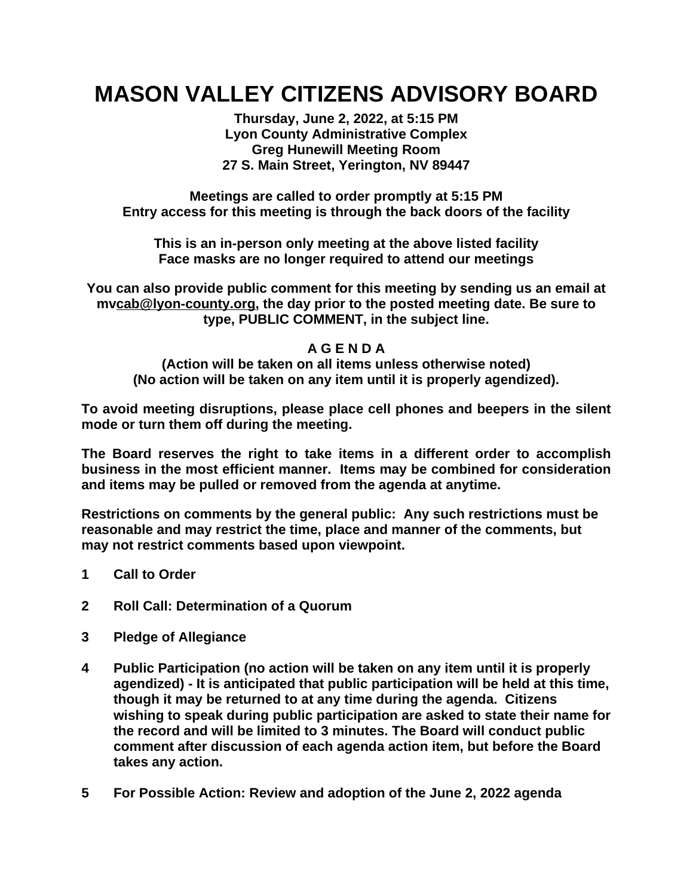## **MASON VALLEY CITIZENS ADVISORY BOARD**

**Thursday, June 2, 2022, at 5:15 PM Lyon County Administrative Complex Greg Hunewill Meeting Room 27 S. Main Street, Yerington, NV 89447**

**Meetings are called to order promptly at 5:15 PM Entry access for this meeting is through the back doors of the facility**

**This is an in-person only meeting at the above listed facility Face masks are no longer required to attend our meetings**

**You can also provide public comment for this meeting by sending us an email at mv[cab@lyon-county.org,](mailto:sccab@lyon-county.org) the day prior to the posted meeting date. Be sure to type, PUBLIC COMMENT, in the subject line.**

## **A G E N D A**

**(Action will be taken on all items unless otherwise noted) (No action will be taken on any item until it is properly agendized).**

**To avoid meeting disruptions, please place cell phones and beepers in the silent mode or turn them off during the meeting.**

**The Board reserves the right to take items in a different order to accomplish business in the most efficient manner. Items may be combined for consideration and items may be pulled or removed from the agenda at anytime.**

**Restrictions on comments by the general public: Any such restrictions must be reasonable and may restrict the time, place and manner of the comments, but may not restrict comments based upon viewpoint.**

- **1 Call to Order**
- **2 Roll Call: Determination of a Quorum**
- **3 Pledge of Allegiance**
- **4 Public Participation (no action will be taken on any item until it is properly agendized) - It is anticipated that public participation will be held at this time, though it may be returned to at any time during the agenda. Citizens wishing to speak during public participation are asked to state their name for the record and will be limited to 3 minutes. The Board will conduct public comment after discussion of each agenda action item, but before the Board takes any action.**
- **5 For Possible Action: Review and adoption of the June 2, 2022 agenda**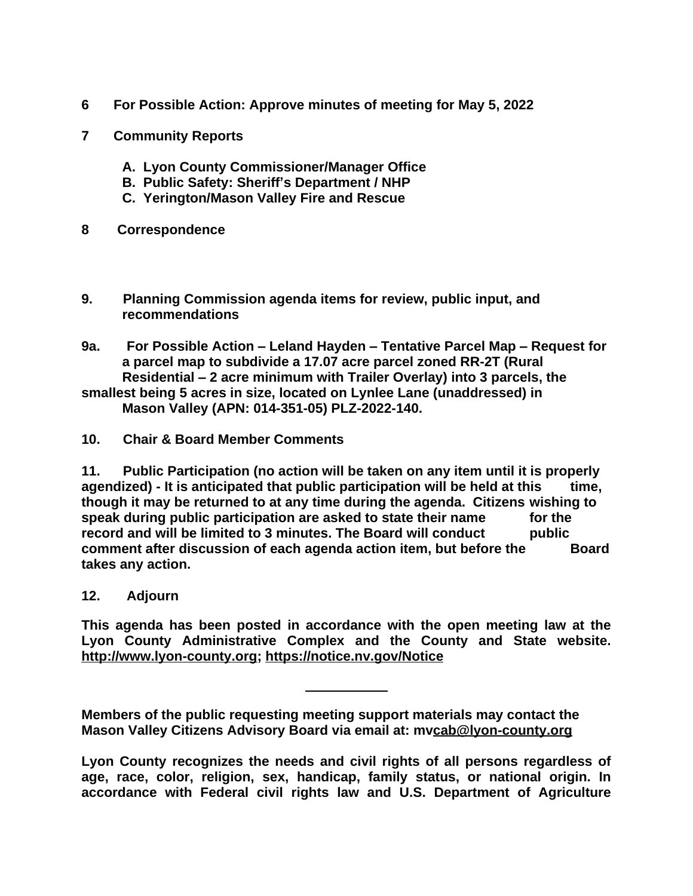- **6 For Possible Action: Approve minutes of meeting for May 5, 2022**
- **7 Community Reports**
	- **A. Lyon County Commissioner/Manager Office**
	- **B. Public Safety: Sheriff's Department / NHP**
	- **C. Yerington/Mason Valley Fire and Rescue**
- **8 Correspondence**
- **9. Planning Commission agenda items for review, public input, and recommendations**
- **9a. For Possible Action – Leland Hayden – Tentative Parcel Map – Request for a parcel map to subdivide a 17.07 acre parcel zoned RR-2T (Rural Residential – 2 acre minimum with Trailer Overlay) into 3 parcels, the smallest being 5 acres in size, located on Lynlee Lane (unaddressed) in**

**Mason Valley (APN: 014-351-05) PLZ-2022-140.**

**10. Chair & Board Member Comments**

**11. Public Participation (no action will be taken on any item until it is properly agendized) - It is anticipated that public participation will be held at this time, though it may be returned to at any time during the agenda. Citizens wishing to speak during public participation are asked to state their name for the record and will be limited to 3 minutes. The Board will conduct public comment after discussion of each agenda action item, but before the Board takes any action.**

**12. Adjourn**

**This agenda has been posted in accordance with the open meeting law at the Lyon County Administrative Complex and the County and State website. [http://www.lyon-county.org](http://www.lyon-county.org/); <https://notice.nv.gov/Notice>**

**Members of the public requesting meeting support materials may contact the Mason Valley Citizens Advisory Board via email at: mv[cab@lyon-county.org](mailto:sccab@lyon-county.org)**

**Lyon County [recognizes](mailto:sccab@lyon-county.org) the needs and civil rights of all persons regardless of age, race, color, religion, sex, [handicap,](mailto:sccab@lyon-county.org) family status, or national origin. In [accordance](mailto:sccab@lyon-county.org) with Federal civil rights law and U.S. Department of Agriculture**